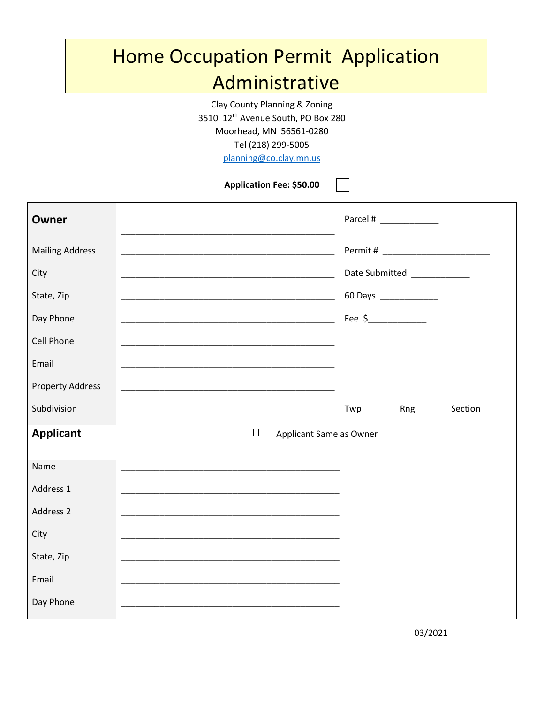## Home Occupation Permit Application Administrative

Clay County Planning & Zoning 3510 12th Avenue South, PO Box 280 Moorhead, MN 56561-0280 Tel (218) 299-5005

<planning@co.clay.mn.us>

**Application Fee: \$50.00**

| Owner                   |                                                                                                                       | Parcel #                    |
|-------------------------|-----------------------------------------------------------------------------------------------------------------------|-----------------------------|
| <b>Mailing Address</b>  | <u> 1989 - Johann John Harry, mars and deutscher Amerikaanse kommunister († 1908)</u>                                 |                             |
| City                    |                                                                                                                       | Date Submitted ____________ |
| State, Zip              |                                                                                                                       | 60 Days ______________      |
| Day Phone               | <u> 2000 - Jan James James James James James James James James James James James James James James James James J</u>  | Fee $\frac{2}{1}$           |
| Cell Phone              |                                                                                                                       |                             |
| Email                   |                                                                                                                       |                             |
| <b>Property Address</b> |                                                                                                                       |                             |
| Subdivision             |                                                                                                                       | Twp Rng Section             |
| <b>Applicant</b>        | $\Box$<br>Applicant Same as Owner                                                                                     |                             |
| Name                    |                                                                                                                       |                             |
| Address 1               |                                                                                                                       |                             |
| Address 2               |                                                                                                                       |                             |
| City                    |                                                                                                                       |                             |
| State, Zip              | <u> 1989 - Johann Stoff, deutscher Stoff, der Stoff, der Stoff, der Stoff, der Stoff, der Stoff, der Stoff, der S</u> |                             |
| Email                   |                                                                                                                       |                             |
| Day Phone               |                                                                                                                       |                             |